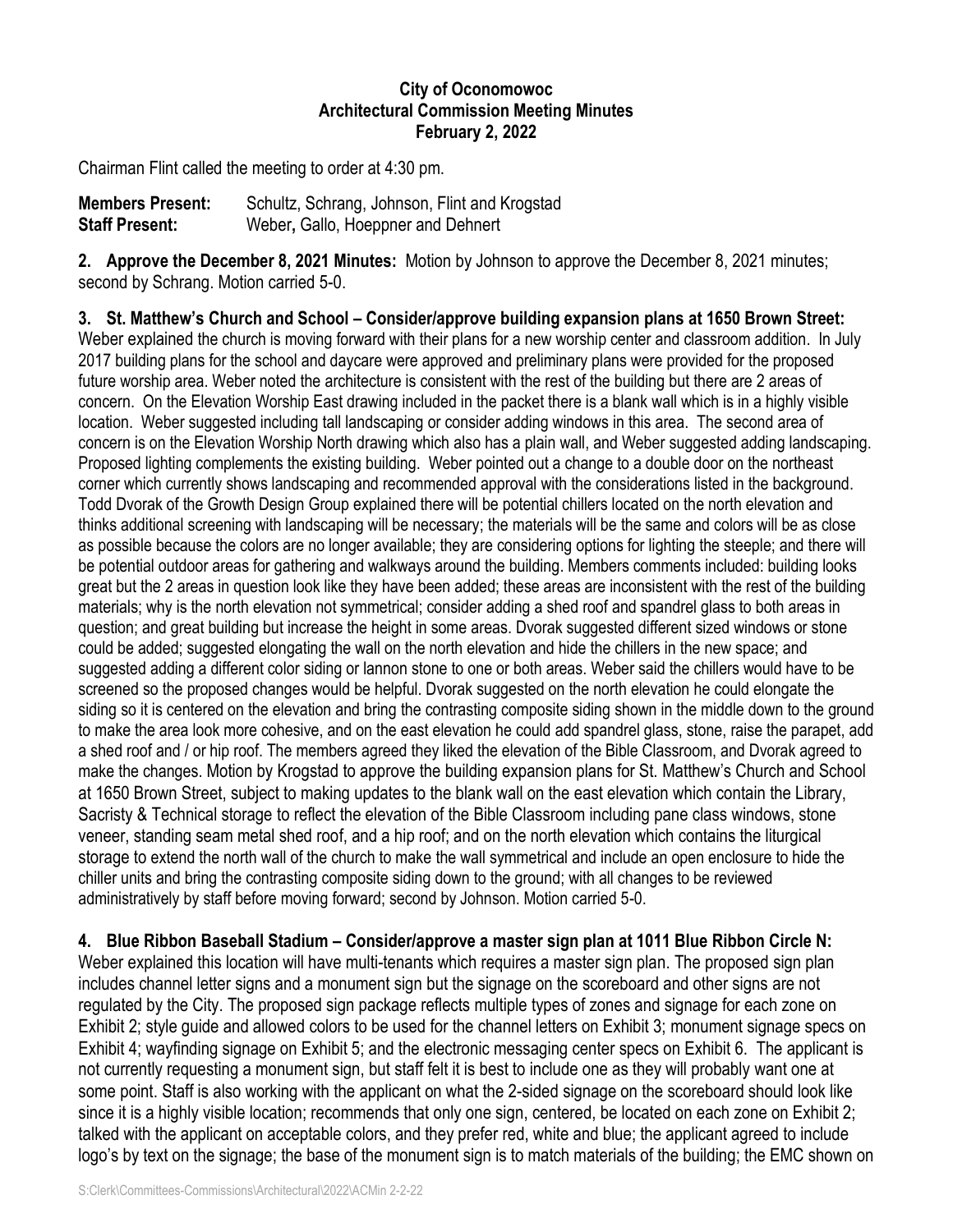## **City of Oconomowoc Architectural Commission Meeting Minutes February 2, 2022**

Chairman Flint called the meeting to order at 4:30 pm.

| <b>Members Present:</b> | Schultz, Schrang, Johnson, Flint and Krogstad |
|-------------------------|-----------------------------------------------|
| <b>Staff Present:</b>   | Weber, Gallo, Hoeppner and Dehnert            |

**2. Approve the December 8, 2021 Minutes:** Motion by Johnson to approve the December 8, 2021 minutes; second by Schrang. Motion carried 5-0.

**3. St. Matthew's Church and School – Consider/approve building expansion plans at 1650 Brown Street:** Weber explained the church is moving forward with their plans for a new worship center and classroom addition. In July 2017 building plans for the school and daycare were approved and preliminary plans were provided for the proposed future worship area. Weber noted the architecture is consistent with the rest of the building but there are 2 areas of concern. On the Elevation Worship East drawing included in the packet there is a blank wall which is in a highly visible location. Weber suggested including tall landscaping or consider adding windows in this area. The second area of concern is on the Elevation Worship North drawing which also has a plain wall, and Weber suggested adding landscaping. Proposed lighting complements the existing building. Weber pointed out a change to a double door on the northeast corner which currently shows landscaping and recommended approval with the considerations listed in the background. Todd Dvorak of the Growth Design Group explained there will be potential chillers located on the north elevation and thinks additional screening with landscaping will be necessary; the materials will be the same and colors will be as close as possible because the colors are no longer available; they are considering options for lighting the steeple; and there will be potential outdoor areas for gathering and walkways around the building. Members comments included: building looks great but the 2 areas in question look like they have been added; these areas are inconsistent with the rest of the building materials; why is the north elevation not symmetrical; consider adding a shed roof and spandrel glass to both areas in question; and great building but increase the height in some areas. Dvorak suggested different sized windows or stone could be added; suggested elongating the wall on the north elevation and hide the chillers in the new space; and suggested adding a different color siding or lannon stone to one or both areas. Weber said the chillers would have to be screened so the proposed changes would be helpful. Dvorak suggested on the north elevation he could elongate the siding so it is centered on the elevation and bring the contrasting composite siding shown in the middle down to the ground to make the area look more cohesive, and on the east elevation he could add spandrel glass, stone, raise the parapet, add a shed roof and / or hip roof. The members agreed they liked the elevation of the Bible Classroom, and Dvorak agreed to make the changes. Motion by Krogstad to approve the building expansion plans for St. Matthew's Church and School at 1650 Brown Street, subject to making updates to the blank wall on the east elevation which contain the Library, Sacristy & Technical storage to reflect the elevation of the Bible Classroom including pane class windows, stone veneer, standing seam metal shed roof, and a hip roof; and on the north elevation which contains the liturgical storage to extend the north wall of the church to make the wall symmetrical and include an open enclosure to hide the chiller units and bring the contrasting composite siding down to the ground; with all changes to be reviewed administratively by staff before moving forward; second by Johnson. Motion carried 5-0.

**4. Blue Ribbon Baseball Stadium – Consider/approve a master sign plan at 1011 Blue Ribbon Circle N:**

Weber explained this location will have multi-tenants which requires a master sign plan. The proposed sign plan includes channel letter signs and a monument sign but the signage on the scoreboard and other signs are not regulated by the City. The proposed sign package reflects multiple types of zones and signage for each zone on Exhibit 2; style guide and allowed colors to be used for the channel letters on Exhibit 3; monument signage specs on Exhibit 4; wayfinding signage on Exhibit 5; and the electronic messaging center specs on Exhibit 6. The applicant is not currently requesting a monument sign, but staff felt it is best to include one as they will probably want one at some point. Staff is also working with the applicant on what the 2-sided signage on the scoreboard should look like since it is a highly visible location; recommends that only one sign, centered, be located on each zone on Exhibit 2; talked with the applicant on acceptable colors, and they prefer red, white and blue; the applicant agreed to include logo's by text on the signage; the base of the monument sign is to match materials of the building; the EMC shown on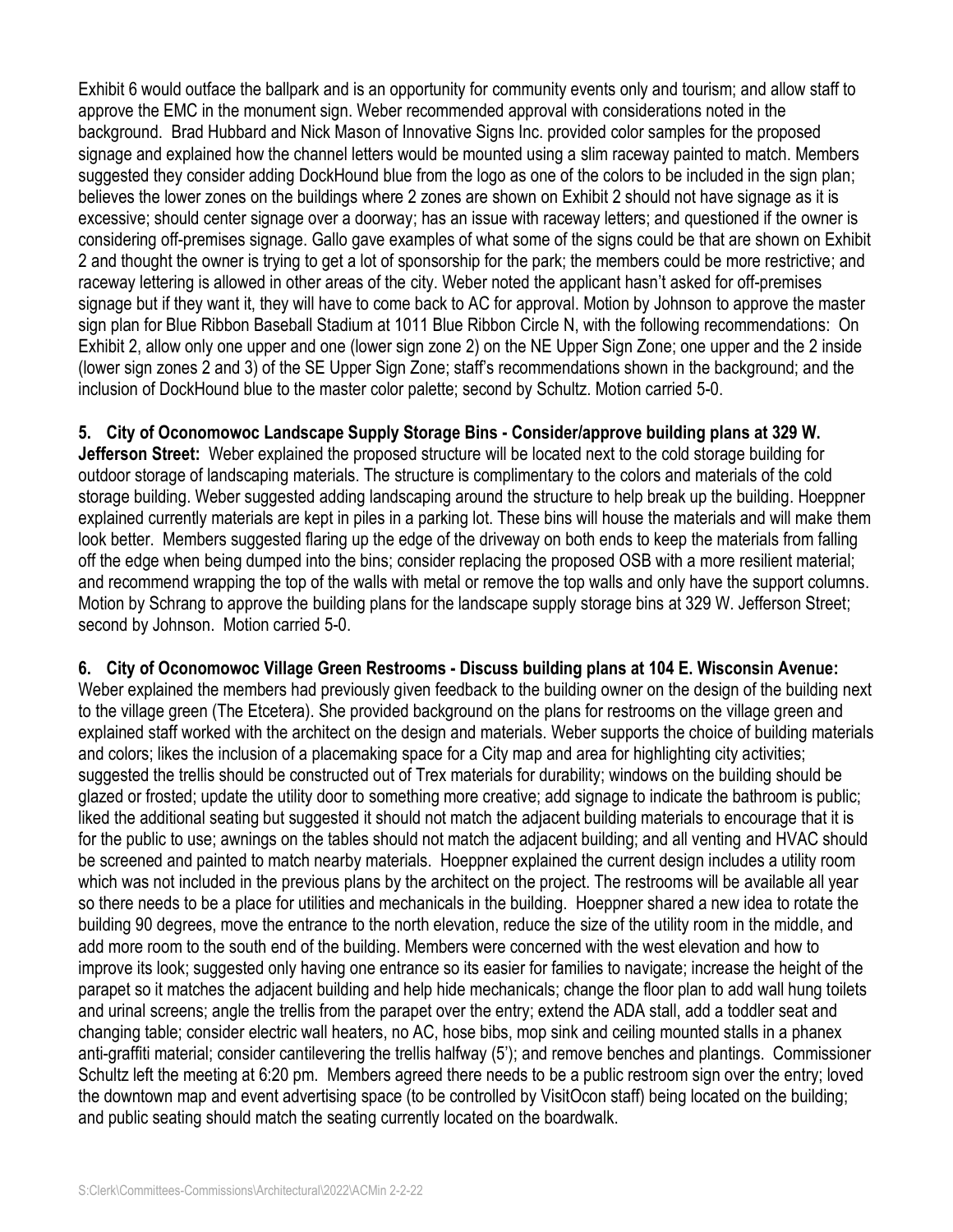Exhibit 6 would outface the ballpark and is an opportunity for community events only and tourism; and allow staff to approve the EMC in the monument sign. Weber recommended approval with considerations noted in the background. Brad Hubbard and Nick Mason of Innovative Signs Inc. provided color samples for the proposed signage and explained how the channel letters would be mounted using a slim raceway painted to match. Members suggested they consider adding DockHound blue from the logo as one of the colors to be included in the sign plan; believes the lower zones on the buildings where 2 zones are shown on Exhibit 2 should not have signage as it is excessive; should center signage over a doorway; has an issue with raceway letters; and questioned if the owner is considering off-premises signage. Gallo gave examples of what some of the signs could be that are shown on Exhibit 2 and thought the owner is trying to get a lot of sponsorship for the park; the members could be more restrictive; and raceway lettering is allowed in other areas of the city. Weber noted the applicant hasn't asked for off-premises signage but if they want it, they will have to come back to AC for approval. Motion by Johnson to approve the master sign plan for Blue Ribbon Baseball Stadium at 1011 Blue Ribbon Circle N, with the following recommendations: On Exhibit 2, allow only one upper and one (lower sign zone 2) on the NE Upper Sign Zone; one upper and the 2 inside (lower sign zones 2 and 3) of the SE Upper Sign Zone; staff's recommendations shown in the background; and the inclusion of DockHound blue to the master color palette; second by Schultz. Motion carried 5-0.

## **5. City of Oconomowoc Landscape Supply Storage Bins - Consider/approve building plans at 329 W.**

**Jefferson Street:** Weber explained the proposed structure will be located next to the cold storage building for outdoor storage of landscaping materials. The structure is complimentary to the colors and materials of the cold storage building. Weber suggested adding landscaping around the structure to help break up the building. Hoeppner explained currently materials are kept in piles in a parking lot. These bins will house the materials and will make them look better. Members suggested flaring up the edge of the driveway on both ends to keep the materials from falling off the edge when being dumped into the bins; consider replacing the proposed OSB with a more resilient material; and recommend wrapping the top of the walls with metal or remove the top walls and only have the support columns. Motion by Schrang to approve the building plans for the landscape supply storage bins at 329 W. Jefferson Street; second by Johnson. Motion carried 5-0.

**6. City of Oconomowoc Village Green Restrooms - Discuss building plans at 104 E. Wisconsin Avenue:**  Weber explained the members had previously given feedback to the building owner on the design of the building next to the village green (The Etcetera). She provided background on the plans for restrooms on the village green and explained staff worked with the architect on the design and materials. Weber supports the choice of building materials and colors; likes the inclusion of a placemaking space for a City map and area for highlighting city activities; suggested the trellis should be constructed out of Trex materials for durability; windows on the building should be glazed or frosted; update the utility door to something more creative; add signage to indicate the bathroom is public; liked the additional seating but suggested it should not match the adjacent building materials to encourage that it is for the public to use; awnings on the tables should not match the adjacent building; and all venting and HVAC should be screened and painted to match nearby materials. Hoeppner explained the current design includes a utility room which was not included in the previous plans by the architect on the project. The restrooms will be available all year so there needs to be a place for utilities and mechanicals in the building. Hoeppner shared a new idea to rotate the building 90 degrees, move the entrance to the north elevation, reduce the size of the utility room in the middle, and add more room to the south end of the building. Members were concerned with the west elevation and how to improve its look; suggested only having one entrance so its easier for families to navigate; increase the height of the parapet so it matches the adjacent building and help hide mechanicals; change the floor plan to add wall hung toilets and urinal screens; angle the trellis from the parapet over the entry; extend the ADA stall, add a toddler seat and changing table; consider electric wall heaters, no AC, hose bibs, mop sink and ceiling mounted stalls in a phanex anti-graffiti material; consider cantilevering the trellis halfway (5'); and remove benches and plantings. Commissioner Schultz left the meeting at 6:20 pm. Members agreed there needs to be a public restroom sign over the entry; loved the downtown map and event advertising space (to be controlled by VisitOcon staff) being located on the building; and public seating should match the seating currently located on the boardwalk.